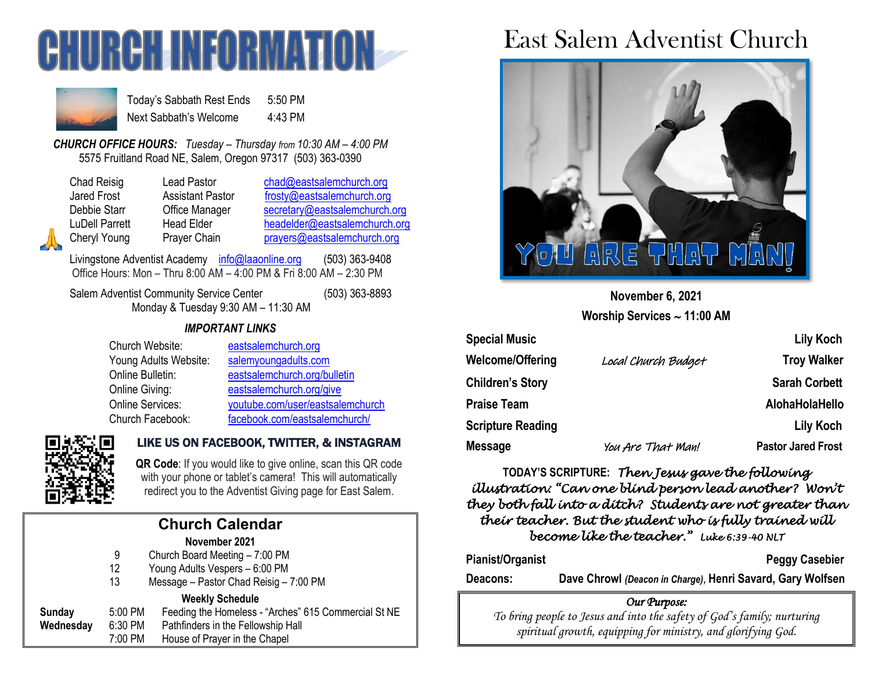



Today's Sabbath Rest Ends 5:50 PM Next Sabbath's Welcome 4:43 PM

*CHURCH OFFICE HOURS: Tuesday – Thursday from 10:30 AM – 4:00 PM* 5575 Fruitland Road NE, Salem, Oregon 97317 (503) 363-0390

Lead Pastor [chad@eastsalemchurch.org](mailto:chad@eastsalemchurch.org) Assistant Pastor [frosty@eastsalemchurch.org](mailto:frosty@eastsalemchurch.org) Office Manager [secretary@eastsalemchurch.org](mailto:secretary@eastsalemchurch.org) Head Elder [headelder@eastsalemchurch.org](mailto:headelder@eastsalemchurch.org) Prayer Chain [prayers@eastsalemchurch.org](mailto:prayers@eastsalemchurch.org)

Livingstone Adventist Academy [info@laaonline.org](mailto:info@laaonline.org) (503) 363-9408 Office Hours: Mon – Thru 8:00 AM – 4:00 PM & Fri 8:00 AM – 2:30 PM

Salem Adventist Community Service Center (503) 363-8893 Monday & Tuesday 9:30 AM – 11:30 AM

### *IMPORTANT LINKS*

| Church Website:         | eastsalemchurch.org              |
|-------------------------|----------------------------------|
| Young Adults Website:   | salemyoungadults.com             |
| Online Bulletin:        | eastsalemchurch.org/bulletin     |
| Online Giving:          | eastsalemchurch.org/give         |
| <b>Online Services:</b> | youtube.com/user/eastsalemchurch |
| Church Facebook:        | facebook.com/eastsalemchurch/    |



## LIKE US ON FACEBOOK, TWITTER, & INSTAGRAM

**QR Code**: If you would like to give online, scan this QR code with your phone or tablet's camera! This will automatically redirect you to the Adventist Giving page for East Salem.

#### **Church Calendar November 2021** 9 Church Board Meeting – 7:00 PM 12 Young Adults Vespers – 6:00 PM 13 Message – Pastor Chad Reisig – 7:00 PM **Weekly Schedule Sunday** 5:00 PM Feeding the Homeless - "Arches" 615 Commercial St NE **Wednesday** 6:30 PM Pathfinders in the Fellowship Hall 7:00 PM House of Prayer in the Chapel

# East Salem Adventist Church



**November 6, 2021 Worship Services 11:00 AM**

| <b>Special Music</b>     |                     | <b>Lily Koch</b>          |
|--------------------------|---------------------|---------------------------|
| Welcome/Offering         | Local Church Budget | <b>Troy Walker</b>        |
| <b>Children's Story</b>  |                     | <b>Sarah Corbett</b>      |
| <b>Praise Team</b>       |                     | AlohaHolaHello            |
| <b>Scripture Reading</b> |                     | <b>Lily Koch</b>          |
| Message                  | You Are That Man!   | <b>Pastor Jared Frost</b> |

**TODAY'S SCRIPTURE:** *Then Jesus gave the following illustration: "Can one blind person lead another? Won't they both fall into a ditch? Students are not greater than their teacher. But the student who is fully trained will become like the teacher." Luke 6:39-40 NLT* 

Pianist/Organist **Peggy Casebier** 

**Deacons: Dave Chrowl** *(Deacon in Charge)***, Henri Savard, Gary Wolfsen**

#### *Our Purpose:*

*To bring people to Jesus and into the safety of God's family; nurturing spiritual growth, equipping for ministry, and glorifying God.*